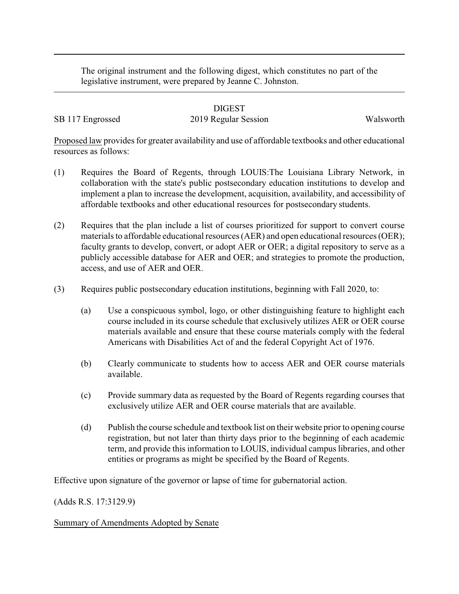The original instrument and the following digest, which constitutes no part of the legislative instrument, were prepared by Jeanne C. Johnston.

## DIGEST

## SB 117 Engrossed 2019 Regular Session Walsworth

Proposed law provides for greater availability and use of affordable textbooks and other educational resources as follows:

- (1) Requires the Board of Regents, through LOUIS:The Louisiana Library Network, in collaboration with the state's public postsecondary education institutions to develop and implement a plan to increase the development, acquisition, availability, and accessibility of affordable textbooks and other educational resources for postsecondary students.
- (2) Requires that the plan include a list of courses prioritized for support to convert course materials to affordable educational resources (AER) and open educational resources (OER); faculty grants to develop, convert, or adopt AER or OER; a digital repository to serve as a publicly accessible database for AER and OER; and strategies to promote the production, access, and use of AER and OER.
- (3) Requires public postsecondary education institutions, beginning with Fall 2020, to:
	- (a) Use a conspicuous symbol, logo, or other distinguishing feature to highlight each course included in its course schedule that exclusively utilizes AER or OER course materials available and ensure that these course materials comply with the federal Americans with Disabilities Act of and the federal Copyright Act of 1976.
	- (b) Clearly communicate to students how to access AER and OER course materials available.
	- (c) Provide summary data as requested by the Board of Regents regarding courses that exclusively utilize AER and OER course materials that are available.
	- (d) Publish the course schedule and textbook list on their website prior to opening course registration, but not later than thirty days prior to the beginning of each academic term, and provide this information to LOUIS, individual campus libraries, and other entities or programs as might be specified by the Board of Regents.

Effective upon signature of the governor or lapse of time for gubernatorial action.

(Adds R.S. 17:3129.9)

Summary of Amendments Adopted by Senate